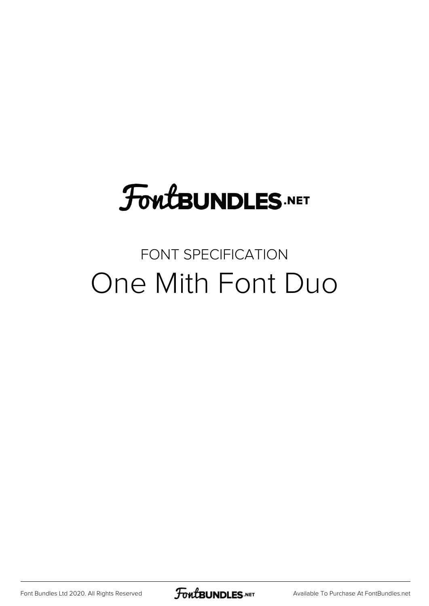# **FoutBUNDLES.NET**

## FONT SPECIFICATION One Mith Font Duo

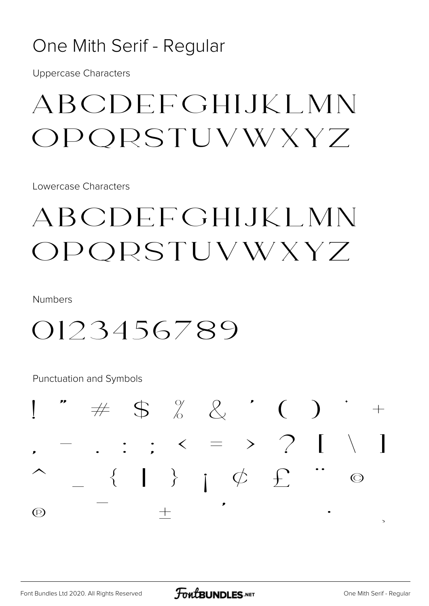#### One Mith Serif - Regular

**Uppercase Characters** 

# **ABCDEFGHIJKLMN** OPORSTUVWXYZ

Lowercase Characters

# ABCDEFGHIJKLMN OPORSTUVWXYZ

**Numbers** 

## 0123456789

Punctuation and Symbols

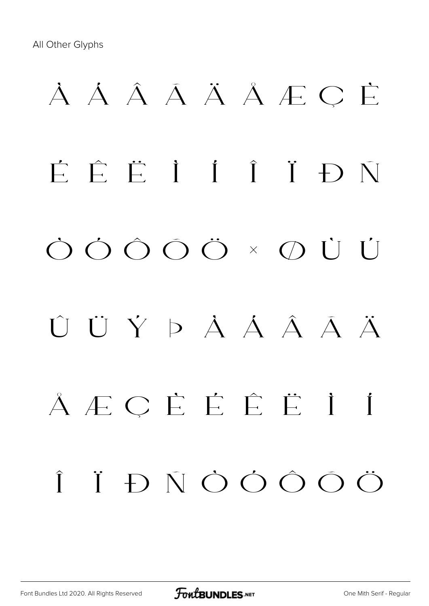# À Á Â Ã Ä Å Æ Ç È É Ê Ë Ì Í Î Ï Ð Ñ Ò Ó Ô Õ Ö × Ø Ù Ú Û Ü Ý Þ à á â ã ä å æ ç è é ê ë ì í î ï ð ñ ò ó ô õ ö

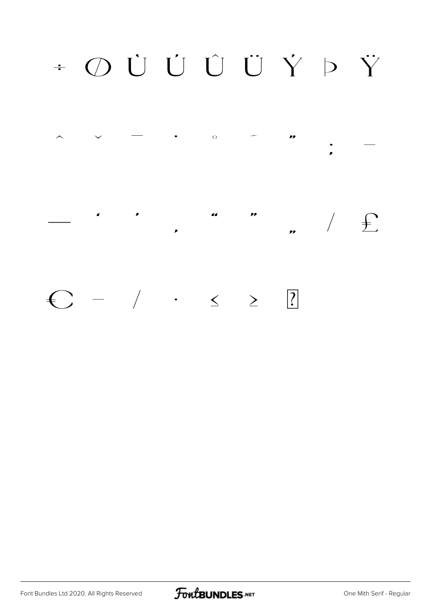# + O Ù Ù Ù Ù Ÿ Þ Ÿ



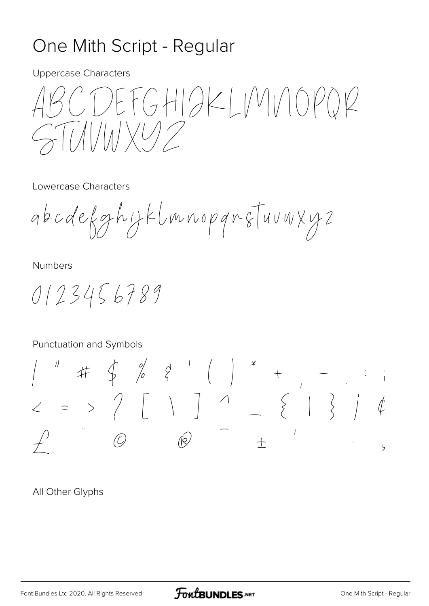### One Mith Script - Regular

**Uppercase Characters** 

DEFGHIAKLIMINOPOR 

Lowercase Characters

abcdefghijklmnopqnsTuuwxyz

Numbers

0123456789

#### Punctuation and Symbols

 $2 = 2$  / [ | ]  $1 = 1$  $\circledR$  $\overline{O}$  $\zeta$ 

All Other Glyphs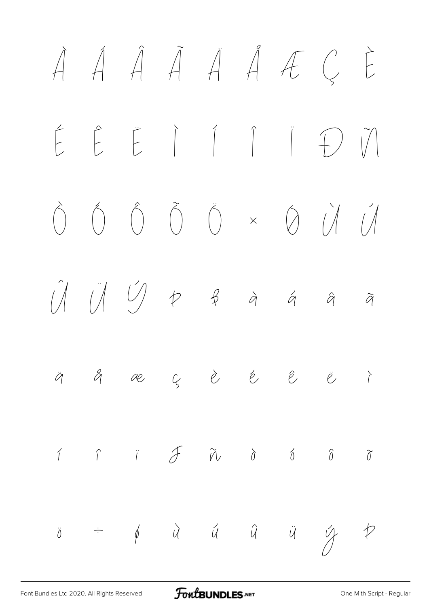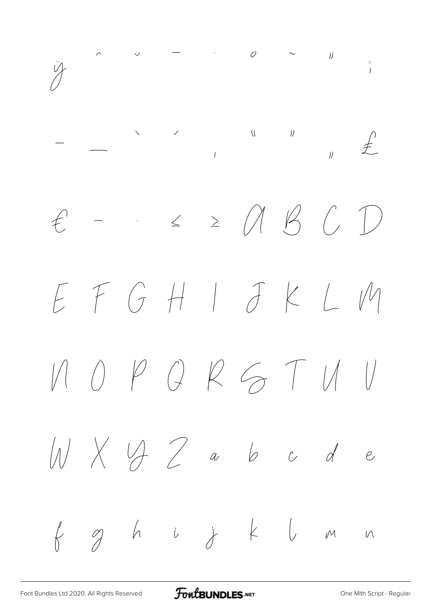$\begin{array}{ccccccccccc} \wedge & & \vee & & & - & & \wedge & & \wedge & & \wedge & & \wedge \end{array} \hspace{3mm} \begin{array}{ccccccccccccccc} \wedge & & \wedge & & & \wedge & & \wedge & & \wedge \end{array}$  $\frac{1}{2}$  $\ddot{y}$  $\begin{array}{cc} \n\mathbf{y} & \mathbf{z} \n\end{array}$  $\leq$   $\geq$   $\wedge$   $\vee$   $\circ$  $\bigcup$  $f$  $\frac{1}{\sqrt{2}}\left( \frac{1}{\sqrt{2}}\right) \left( \frac{1}{\sqrt{2}}\right) \left( \frac{1}{\sqrt{2}}\right) \left( \frac{1}{\sqrt{2}}\right) \left( \frac{1}{\sqrt{2}}\right) \left( \frac{1}{\sqrt{2}}\right) \left( \frac{1}{\sqrt{2}}\right) \left( \frac{1}{\sqrt{2}}\right) \left( \frac{1}{\sqrt{2}}\right) \left( \frac{1}{\sqrt{2}}\right) \left( \frac{1}{\sqrt{2}}\right) \left( \frac{1}{\sqrt{2}}\right) \left( \frac{1}{\sqrt{2}}\right) \left$  $E F G H J J K LM$  $0PQRGTMU$  $\left| \right|$  $M\times M$  abcde  $g$  h i j k  $l$  m  $\downarrow$  $M$